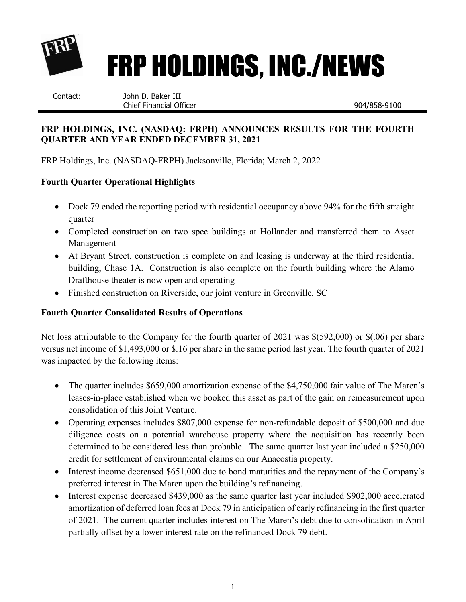

# FRP HOLDINGS, INC./NEWS

 Contact: John D. Baker III Chief Financial Officer 904/858-9100

# **FRP HOLDINGS, INC. (NASDAQ: FRPH) ANNOUNCES RESULTS FOR THE FOURTH QUARTER AND YEAR ENDED DECEMBER 31, 2021**

FRP Holdings, Inc. (NASDAQ-FRPH) Jacksonville, Florida; March 2, 2022 –

# **Fourth Quarter Operational Highlights**

- Dock 79 ended the reporting period with residential occupancy above 94% for the fifth straight quarter
- Completed construction on two spec buildings at Hollander and transferred them to Asset Management
- At Bryant Street, construction is complete on and leasing is underway at the third residential building, Chase 1A. Construction is also complete on the fourth building where the Alamo Drafthouse theater is now open and operating
- Finished construction on Riverside, our joint venture in Greenville, SC

# **Fourth Quarter Consolidated Results of Operations**

Net loss attributable to the Company for the fourth quarter of 2021 was \$(592,000) or \$(.06) per share versus net income of \$1,493,000 or \$.16 per share in the same period last year. The fourth quarter of 2021 was impacted by the following items:

- The quarter includes \$659,000 amortization expense of the \$4,750,000 fair value of The Maren's leases-in-place established when we booked this asset as part of the gain on remeasurement upon consolidation of this Joint Venture.
- Operating expenses includes \$807,000 expense for non-refundable deposit of \$500,000 and due diligence costs on a potential warehouse property where the acquisition has recently been determined to be considered less than probable. The same quarter last year included a \$250,000 credit for settlement of environmental claims on our Anacostia property.
- Interest income decreased \$651,000 due to bond maturities and the repayment of the Company's preferred interest in The Maren upon the building's refinancing.
- Interest expense decreased \$439,000 as the same quarter last year included \$902,000 accelerated amortization of deferred loan fees at Dock 79 in anticipation of early refinancing in the first quarter of 2021. The current quarter includes interest on The Maren's debt due to consolidation in April partially offset by a lower interest rate on the refinanced Dock 79 debt.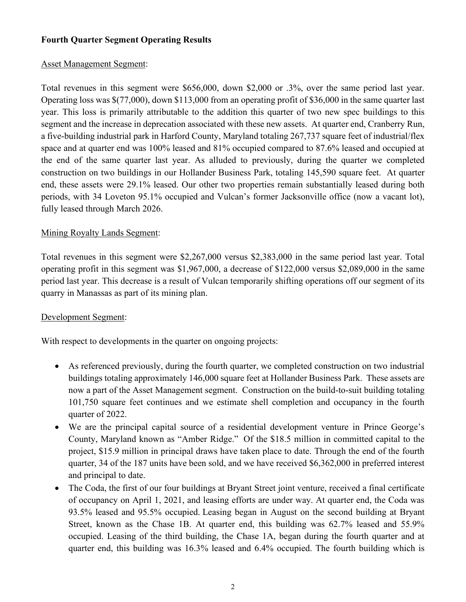# **Fourth Quarter Segment Operating Results**

# Asset Management Segment:

Total revenues in this segment were \$656,000, down \$2,000 or .3%, over the same period last year. Operating loss was \$(77,000), down \$113,000 from an operating profit of \$36,000 in the same quarter last year. This loss is primarily attributable to the addition this quarter of two new spec buildings to this segment and the increase in deprecation associated with these new assets. At quarter end, Cranberry Run, a five-building industrial park in Harford County, Maryland totaling 267,737 square feet of industrial/flex space and at quarter end was 100% leased and 81% occupied compared to 87.6% leased and occupied at the end of the same quarter last year. As alluded to previously, during the quarter we completed construction on two buildings in our Hollander Business Park, totaling 145,590 square feet. At quarter end, these assets were 29.1% leased. Our other two properties remain substantially leased during both periods, with 34 Loveton 95.1% occupied and Vulcan's former Jacksonville office (now a vacant lot), fully leased through March 2026.

# Mining Royalty Lands Segment:

Total revenues in this segment were \$2,267,000 versus \$2,383,000 in the same period last year. Total operating profit in this segment was \$1,967,000, a decrease of \$122,000 versus \$2,089,000 in the same period last year. This decrease is a result of Vulcan temporarily shifting operations off our segment of its quarry in Manassas as part of its mining plan.

# Development Segment:

With respect to developments in the quarter on ongoing projects:

- As referenced previously, during the fourth quarter, we completed construction on two industrial buildings totaling approximately 146,000 square feet at Hollander Business Park. These assets are now a part of the Asset Management segment. Construction on the build-to-suit building totaling 101,750 square feet continues and we estimate shell completion and occupancy in the fourth quarter of 2022.
- We are the principal capital source of a residential development venture in Prince George's County, Maryland known as "Amber Ridge." Of the \$18.5 million in committed capital to the project, \$15.9 million in principal draws have taken place to date. Through the end of the fourth quarter, 34 of the 187 units have been sold, and we have received \$6,362,000 in preferred interest and principal to date.
- The Coda, the first of our four buildings at Bryant Street joint venture, received a final certificate of occupancy on April 1, 2021, and leasing efforts are under way. At quarter end, the Coda was 93.5% leased and 95.5% occupied. Leasing began in August on the second building at Bryant Street, known as the Chase 1B. At quarter end, this building was 62.7% leased and 55.9% occupied. Leasing of the third building, the Chase 1A, began during the fourth quarter and at quarter end, this building was 16.3% leased and 6.4% occupied. The fourth building which is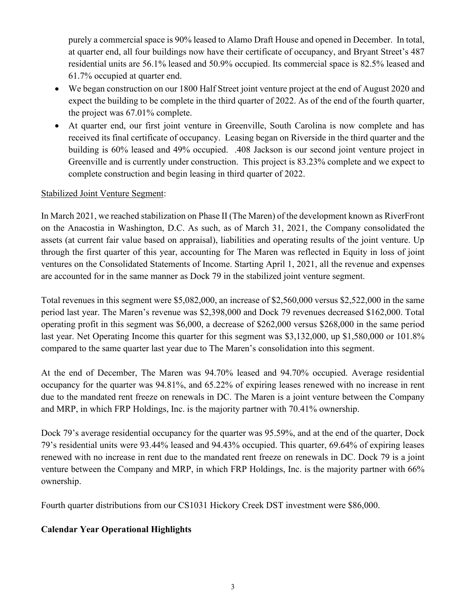purely a commercial space is 90% leased to Alamo Draft House and opened in December. In total, at quarter end, all four buildings now have their certificate of occupancy, and Bryant Street's 487 residential units are 56.1% leased and 50.9% occupied. Its commercial space is 82.5% leased and 61.7% occupied at quarter end.

- We began construction on our 1800 Half Street joint venture project at the end of August 2020 and expect the building to be complete in the third quarter of 2022. As of the end of the fourth quarter, the project was 67.01% complete.
- At quarter end, our first joint venture in Greenville, South Carolina is now complete and has received its final certificate of occupancy. Leasing began on Riverside in the third quarter and the building is 60% leased and 49% occupied. .408 Jackson is our second joint venture project in Greenville and is currently under construction. This project is 83.23% complete and we expect to complete construction and begin leasing in third quarter of 2022.

# Stabilized Joint Venture Segment:

In March 2021, we reached stabilization on Phase II (The Maren) of the development known as RiverFront on the Anacostia in Washington, D.C. As such, as of March 31, 2021, the Company consolidated the assets (at current fair value based on appraisal), liabilities and operating results of the joint venture. Up through the first quarter of this year, accounting for The Maren was reflected in Equity in loss of joint ventures on the Consolidated Statements of Income. Starting April 1, 2021, all the revenue and expenses are accounted for in the same manner as Dock 79 in the stabilized joint venture segment.

Total revenues in this segment were \$5,082,000, an increase of \$2,560,000 versus \$2,522,000 in the same period last year. The Maren's revenue was \$2,398,000 and Dock 79 revenues decreased \$162,000. Total operating profit in this segment was \$6,000, a decrease of \$262,000 versus \$268,000 in the same period last year. Net Operating Income this quarter for this segment was \$3,132,000, up \$1,580,000 or 101.8% compared to the same quarter last year due to The Maren's consolidation into this segment.

At the end of December, The Maren was 94.70% leased and 94.70% occupied. Average residential occupancy for the quarter was 94.81%, and 65.22% of expiring leases renewed with no increase in rent due to the mandated rent freeze on renewals in DC. The Maren is a joint venture between the Company and MRP, in which FRP Holdings, Inc. is the majority partner with 70.41% ownership.

Dock 79's average residential occupancy for the quarter was 95.59%, and at the end of the quarter, Dock 79's residential units were 93.44% leased and 94.43% occupied. This quarter, 69.64% of expiring leases renewed with no increase in rent due to the mandated rent freeze on renewals in DC. Dock 79 is a joint venture between the Company and MRP, in which FRP Holdings, Inc. is the majority partner with 66% ownership.

Fourth quarter distributions from our CS1031 Hickory Creek DST investment were \$86,000.

# **Calendar Year Operational Highlights**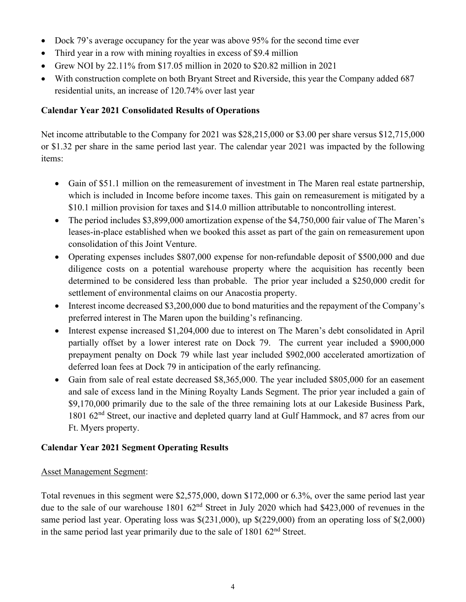- Dock 79's average occupancy for the year was above 95% for the second time ever
- Third year in a row with mining royalties in excess of \$9.4 million
- Grew NOI by 22.11% from \$17.05 million in 2020 to \$20.82 million in 2021
- With construction complete on both Bryant Street and Riverside, this year the Company added 687 residential units, an increase of 120.74% over last year

# **Calendar Year 2021 Consolidated Results of Operations**

Net income attributable to the Company for 2021 was \$28,215,000 or \$3.00 per share versus \$12,715,000 or \$1.32 per share in the same period last year. The calendar year 2021 was impacted by the following items:

- Gain of \$51.1 million on the remeasurement of investment in The Maren real estate partnership, which is included in Income before income taxes. This gain on remeasurement is mitigated by a \$10.1 million provision for taxes and \$14.0 million attributable to noncontrolling interest.
- The period includes \$3,899,000 amortization expense of the \$4,750,000 fair value of The Maren's leases-in-place established when we booked this asset as part of the gain on remeasurement upon consolidation of this Joint Venture.
- Operating expenses includes \$807,000 expense for non-refundable deposit of \$500,000 and due diligence costs on a potential warehouse property where the acquisition has recently been determined to be considered less than probable. The prior year included a \$250,000 credit for settlement of environmental claims on our Anacostia property.
- Interest income decreased \$3,200,000 due to bond maturities and the repayment of the Company's preferred interest in The Maren upon the building's refinancing.
- Interest expense increased \$1,204,000 due to interest on The Maren's debt consolidated in April partially offset by a lower interest rate on Dock 79. The current year included a \$900,000 prepayment penalty on Dock 79 while last year included \$902,000 accelerated amortization of deferred loan fees at Dock 79 in anticipation of the early refinancing.
- Gain from sale of real estate decreased \$8,365,000. The year included \$805,000 for an easement and sale of excess land in the Mining Royalty Lands Segment. The prior year included a gain of \$9,170,000 primarily due to the sale of the three remaining lots at our Lakeside Business Park, 1801 62<sup>nd</sup> Street, our inactive and depleted quarry land at Gulf Hammock, and 87 acres from our Ft. Myers property.

# **Calendar Year 2021 Segment Operating Results**

# Asset Management Segment:

Total revenues in this segment were \$2,575,000, down \$172,000 or 6.3%, over the same period last year due to the sale of our warehouse 1801 62<sup>nd</sup> Street in July 2020 which had \$423,000 of revenues in the same period last year. Operating loss was \$(231,000), up \$(229,000) from an operating loss of \$(2,000) in the same period last year primarily due to the sale of  $1801\,62<sup>nd</sup>$  Street.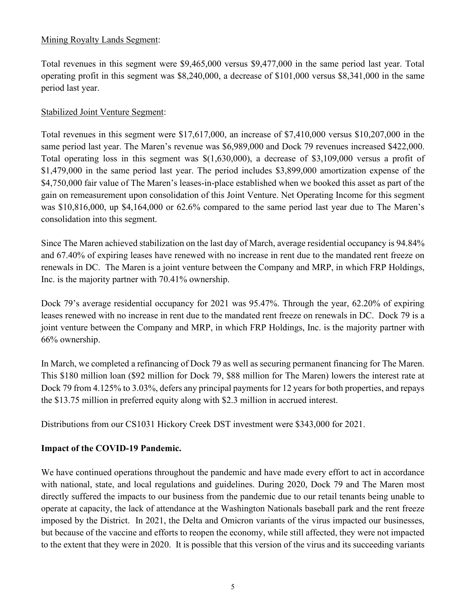# Mining Royalty Lands Segment:

Total revenues in this segment were \$9,465,000 versus \$9,477,000 in the same period last year. Total operating profit in this segment was \$8,240,000, a decrease of \$101,000 versus \$8,341,000 in the same period last year.

# Stabilized Joint Venture Segment:

Total revenues in this segment were \$17,617,000, an increase of \$7,410,000 versus \$10,207,000 in the same period last year. The Maren's revenue was \$6,989,000 and Dock 79 revenues increased \$422,000. Total operating loss in this segment was \$(1,630,000), a decrease of \$3,109,000 versus a profit of \$1,479,000 in the same period last year. The period includes \$3,899,000 amortization expense of the \$4,750,000 fair value of The Maren's leases-in-place established when we booked this asset as part of the gain on remeasurement upon consolidation of this Joint Venture. Net Operating Income for this segment was \$10,816,000, up \$4,164,000 or 62.6% compared to the same period last year due to The Maren's consolidation into this segment.

Since The Maren achieved stabilization on the last day of March, average residential occupancy is 94.84% and 67.40% of expiring leases have renewed with no increase in rent due to the mandated rent freeze on renewals in DC. The Maren is a joint venture between the Company and MRP, in which FRP Holdings, Inc. is the majority partner with 70.41% ownership.

Dock 79's average residential occupancy for 2021 was 95.47%. Through the year, 62.20% of expiring leases renewed with no increase in rent due to the mandated rent freeze on renewals in DC. Dock 79 is a joint venture between the Company and MRP, in which FRP Holdings, Inc. is the majority partner with 66% ownership.

In March, we completed a refinancing of Dock 79 as well as securing permanent financing for The Maren. This \$180 million loan (\$92 million for Dock 79, \$88 million for The Maren) lowers the interest rate at Dock 79 from 4.125% to 3.03%, defers any principal payments for 12 years for both properties, and repays the \$13.75 million in preferred equity along with \$2.3 million in accrued interest.

Distributions from our CS1031 Hickory Creek DST investment were \$343,000 for 2021.

# **Impact of the COVID-19 Pandemic.**

We have continued operations throughout the pandemic and have made every effort to act in accordance with national, state, and local regulations and guidelines. During 2020, Dock 79 and The Maren most directly suffered the impacts to our business from the pandemic due to our retail tenants being unable to operate at capacity, the lack of attendance at the Washington Nationals baseball park and the rent freeze imposed by the District. In 2021, the Delta and Omicron variants of the virus impacted our businesses, but because of the vaccine and efforts to reopen the economy, while still affected, they were not impacted to the extent that they were in 2020. It is possible that this version of the virus and its succeeding variants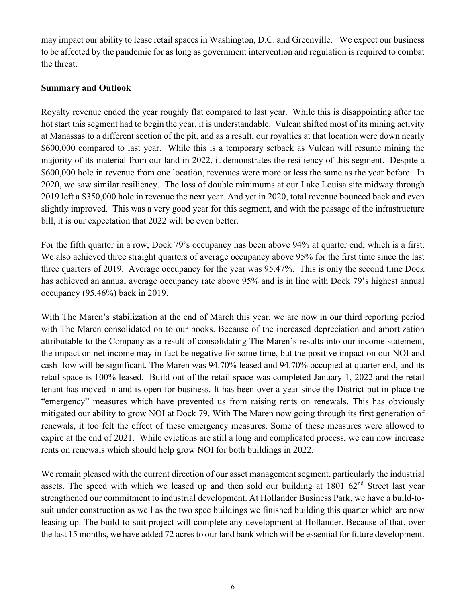may impact our ability to lease retail spaces in Washington, D.C. and Greenville. We expect our business to be affected by the pandemic for as long as government intervention and regulation is required to combat the threat.

## **Summary and Outlook**

Royalty revenue ended the year roughly flat compared to last year. While this is disappointing after the hot start this segment had to begin the year, it is understandable. Vulcan shifted most of its mining activity at Manassas to a different section of the pit, and as a result, our royalties at that location were down nearly \$600,000 compared to last year. While this is a temporary setback as Vulcan will resume mining the majority of its material from our land in 2022, it demonstrates the resiliency of this segment. Despite a \$600,000 hole in revenue from one location, revenues were more or less the same as the year before. In 2020, we saw similar resiliency. The loss of double minimums at our Lake Louisa site midway through 2019 left a \$350,000 hole in revenue the next year. And yet in 2020, total revenue bounced back and even slightly improved. This was a very good year for this segment, and with the passage of the infrastructure bill, it is our expectation that 2022 will be even better.

For the fifth quarter in a row, Dock 79's occupancy has been above 94% at quarter end, which is a first. We also achieved three straight quarters of average occupancy above 95% for the first time since the last three quarters of 2019. Average occupancy for the year was 95.47%. This is only the second time Dock has achieved an annual average occupancy rate above 95% and is in line with Dock 79's highest annual occupancy (95.46%) back in 2019.

With The Maren's stabilization at the end of March this year, we are now in our third reporting period with The Maren consolidated on to our books. Because of the increased depreciation and amortization attributable to the Company as a result of consolidating The Maren's results into our income statement, the impact on net income may in fact be negative for some time, but the positive impact on our NOI and cash flow will be significant. The Maren was 94.70% leased and 94.70% occupied at quarter end, and its retail space is 100% leased. Build out of the retail space was completed January 1, 2022 and the retail tenant has moved in and is open for business. It has been over a year since the District put in place the "emergency" measures which have prevented us from raising rents on renewals. This has obviously mitigated our ability to grow NOI at Dock 79. With The Maren now going through its first generation of renewals, it too felt the effect of these emergency measures. Some of these measures were allowed to expire at the end of 2021. While evictions are still a long and complicated process, we can now increase rents on renewals which should help grow NOI for both buildings in 2022.

We remain pleased with the current direction of our asset management segment, particularly the industrial assets. The speed with which we leased up and then sold our building at  $1801\,62<sup>nd</sup>$  Street last year strengthened our commitment to industrial development. At Hollander Business Park, we have a build-tosuit under construction as well as the two spec buildings we finished building this quarter which are now leasing up. The build-to-suit project will complete any development at Hollander. Because of that, over the last 15 months, we have added 72 acres to our land bank which will be essential for future development.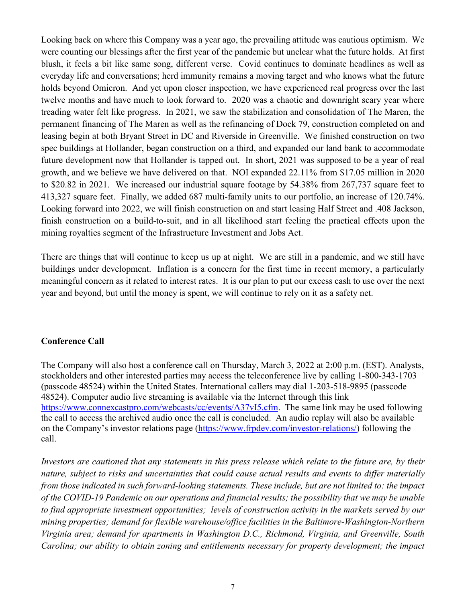Looking back on where this Company was a year ago, the prevailing attitude was cautious optimism. We were counting our blessings after the first year of the pandemic but unclear what the future holds. At first blush, it feels a bit like same song, different verse. Covid continues to dominate headlines as well as everyday life and conversations; herd immunity remains a moving target and who knows what the future holds beyond Omicron. And yet upon closer inspection, we have experienced real progress over the last twelve months and have much to look forward to. 2020 was a chaotic and downright scary year where treading water felt like progress. In 2021, we saw the stabilization and consolidation of The Maren, the permanent financing of The Maren as well as the refinancing of Dock 79, construction completed on and leasing begin at both Bryant Street in DC and Riverside in Greenville. We finished construction on two spec buildings at Hollander, began construction on a third, and expanded our land bank to accommodate future development now that Hollander is tapped out. In short, 2021 was supposed to be a year of real growth, and we believe we have delivered on that. NOI expanded 22.11% from \$17.05 million in 2020 to \$20.82 in 2021. We increased our industrial square footage by 54.38% from 267,737 square feet to 413,327 square feet. Finally, we added 687 multi-family units to our portfolio, an increase of 120.74%. Looking forward into 2022, we will finish construction on and start leasing Half Street and .408 Jackson, finish construction on a build-to-suit, and in all likelihood start feeling the practical effects upon the mining royalties segment of the Infrastructure Investment and Jobs Act.

There are things that will continue to keep us up at night. We are still in a pandemic, and we still have buildings under development. Inflation is a concern for the first time in recent memory, a particularly meaningful concern as it related to interest rates. It is our plan to put our excess cash to use over the next year and beyond, but until the money is spent, we will continue to rely on it as a safety net.

## **Conference Call**

The Company will also host a conference call on Thursday, March 3, 2022 at 2:00 p.m. (EST). Analysts, stockholders and other interested parties may access the teleconference live by calling 1-800-343-1703 (passcode 48524) within the United States. International callers may dial 1-203-518-9895 (passcode 48524). Computer audio live streaming is available via the Internet through this link [https://www.connexcastpro.com/webcasts/cc/events/A37vI5.cfm.](https://protect-us.mimecast.com/s/BWx_CgJGgohAZLCNug-u?domain=connexcastpro.com) The same link may be used following the call to access the archived audio once the call is concluded. An audio replay will also be available on the Company's investor relations page [\(https://www.frpdev.com/investor-relations/\)](https://www.frpdev.com/investor-relations/) following the call.

*Investors are cautioned that any statements in this press release which relate to the future are, by their nature, subject to risks and uncertainties that could cause actual results and events to differ materially from those indicated in such forward-looking statements. These include, but are not limited to: the impact of the COVID-19 Pandemic on our operations and financial results; the possibility that we may be unable to find appropriate investment opportunities; levels of construction activity in the markets served by our mining properties; demand for flexible warehouse/office facilities in the Baltimore-Washington-Northern Virginia area; demand for apartments in Washington D.C., Richmond, Virginia, and Greenville, South Carolina; our ability to obtain zoning and entitlements necessary for property development; the impact*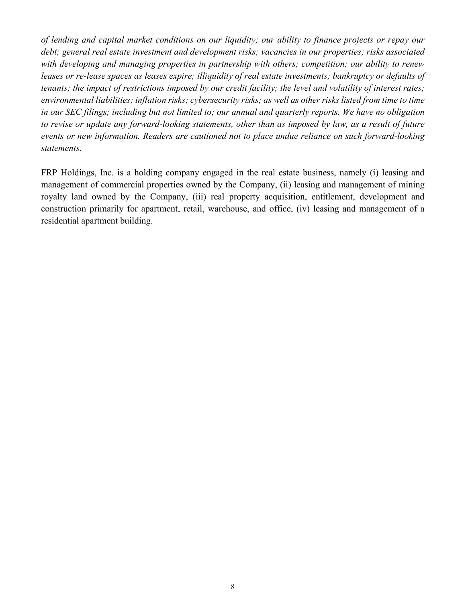*of lending and capital market conditions on our liquidity; our ability to finance projects or repay our debt; general real estate investment and development risks; vacancies in our properties; risks associated with developing and managing properties in partnership with others; competition; our ability to renew leases or re-lease spaces as leases expire; illiquidity of real estate investments; bankruptcy or defaults of tenants; the impact of restrictions imposed by our credit facility; the level and volatility of interest rates; environmental liabilities; inflation risks; cybersecurity risks; as well as other risks listed from time to time in our SEC filings; including but not limited to; our annual and quarterly reports. We have no obligation to revise or update any forward-looking statements, other than as imposed by law, as a result of future events or new information. Readers are cautioned not to place undue reliance on such forward-looking statements.* 

FRP Holdings, Inc. is a holding company engaged in the real estate business, namely (i) leasing and management of commercial properties owned by the Company, (ii) leasing and management of mining royalty land owned by the Company, (iii) real property acquisition, entitlement, development and construction primarily for apartment, retail, warehouse, and office, (iv) leasing and management of a residential apartment building.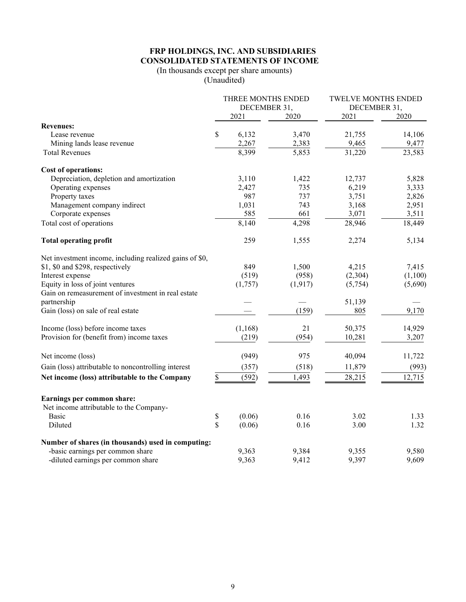## **FRP HOLDINGS, INC. AND SUBSIDIARIES CONSOLIDATED STATEMENTS OF INCOME**

(In thousands except per share amounts)

(Unaudited)

|                                                         |              | THREE MONTHS ENDED | <b>TWELVE MONTHS ENDED</b> |         |  |
|---------------------------------------------------------|--------------|--------------------|----------------------------|---------|--|
|                                                         |              | DECEMBER 31,       | DECEMBER 31,               |         |  |
|                                                         | 2021         | 2020               | 2021                       | 2020    |  |
| <b>Revenues:</b>                                        |              |                    |                            |         |  |
| Lease revenue                                           | \$<br>6,132  | 3,470              | 21,755                     | 14,106  |  |
| Mining lands lease revenue                              | 2,267        | 2,383              | 9,465                      | 9,477   |  |
| <b>Total Revenues</b>                                   | 8,399        | 5,853              | 31,220                     | 23,583  |  |
| Cost of operations:                                     |              |                    |                            |         |  |
| Depreciation, depletion and amortization                | 3,110        | 1,422              | 12,737                     | 5,828   |  |
| Operating expenses                                      | 2,427        | 735                | 6,219                      | 3,333   |  |
| Property taxes                                          | 987          | 737                | 3,751                      | 2,826   |  |
| Management company indirect                             | 1,031        | 743                | 3,168                      | 2,951   |  |
| Corporate expenses                                      | 585          | 661                | 3,071                      | 3,511   |  |
| Total cost of operations                                | 8,140        | 4,298              | 28,946                     | 18,449  |  |
| <b>Total operating profit</b>                           | 259          | 1,555              | 2,274                      | 5,134   |  |
| Net investment income, including realized gains of \$0, |              |                    |                            |         |  |
| \$1, \$0 and \$298, respectively                        | 849          | 1,500              | 4,215                      | 7,415   |  |
| Interest expense                                        | (519)        | (958)              | (2,304)                    | (1,100) |  |
| Equity in loss of joint ventures                        | (1,757)      | (1, 917)           | (5,754)                    | (5,690) |  |
| Gain on remeasurement of investment in real estate      |              |                    |                            |         |  |
| partnership                                             |              |                    | 51,139                     |         |  |
| Gain (loss) on sale of real estate                      |              | (159)              | 805                        | 9,170   |  |
| Income (loss) before income taxes                       | (1, 168)     | 21                 | 50,375                     | 14,929  |  |
| Provision for (benefit from) income taxes               | (219)        | (954)              | 10,281                     | 3,207   |  |
| Net income (loss)                                       | (949)        | 975                | 40,094                     | 11,722  |  |
| Gain (loss) attributable to noncontrolling interest     | (357)        | (518)              | 11,879                     | (993)   |  |
| Net income (loss) attributable to the Company           | \$<br>(592)  | 1,493              | 28,215                     | 12,715  |  |
| Earnings per common share:                              |              |                    |                            |         |  |
| Net income attributable to the Company-                 |              |                    |                            |         |  |
| <b>Basic</b>                                            | \$<br>(0.06) | 0.16               | 3.02                       | 1.33    |  |
| Diluted                                                 | \$<br>(0.06) | 0.16               | 3.00                       | 1.32    |  |
| Number of shares (in thousands) used in computing:      |              |                    |                            |         |  |
| -basic earnings per common share                        | 9,363        | 9,384              | 9,355                      | 9,580   |  |
| -diluted earnings per common share                      | 9,363        | 9,412              | 9,397                      | 9,609   |  |
|                                                         |              |                    |                            |         |  |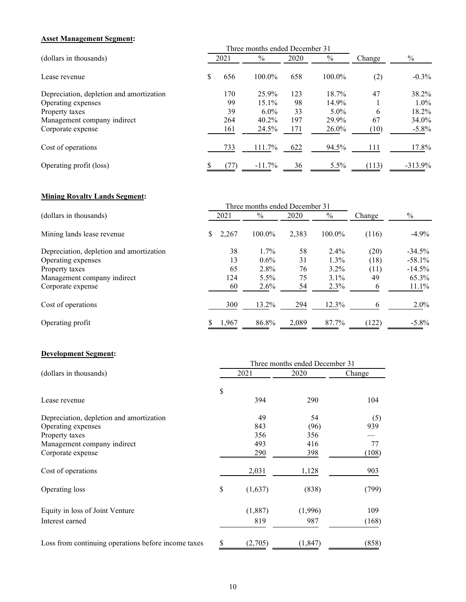## **Asset Management Segment:**

| Амет манадешент эсдигит.                 |                                |           |      |         |        |               |
|------------------------------------------|--------------------------------|-----------|------|---------|--------|---------------|
|                                          | Three months ended December 31 |           |      |         |        |               |
| (dollars in thousands)                   | 2021                           | $\%$      | 2020 | $\%$    | Change | $\frac{0}{0}$ |
| Lease revenue                            | \$<br>656                      | $100.0\%$ | 658  | 100.0%  | (2)    | $-0.3\%$      |
| Depreciation, depletion and amortization | 170                            | 25.9%     | 123  | 18.7%   | 47     | 38.2%         |
| Operating expenses                       | 99                             | $15.1\%$  | 98   | 14.9%   |        | $1.0\%$       |
| Property taxes                           | 39                             | $6.0\%$   | 33   | $5.0\%$ | 6      | 18.2%         |
| Management company indirect              | 264                            | $40.2\%$  | 197  | 29.9%   | 67     | 34.0%         |
| Corporate expense                        | 161                            | 24.5%     | 171  | 26.0%   | (10)   | $-5.8\%$      |
| Cost of operations                       | 733                            | 111.7%    | 622  | 94.5%   | 111    | 17.8%         |
| Operating profit (loss)                  | (77)                           | $-11.7%$  | 36   | $5.5\%$ | (113)  | $-313.9%$     |

## **Mining Royalty Lands Segment:**

| минице коуану Lanus Эедијени.            |             |                                |       |         |        |           |
|------------------------------------------|-------------|--------------------------------|-------|---------|--------|-----------|
|                                          |             | Three months ended December 31 |       |         |        |           |
| (dollars in thousands)                   | 2021        | $\%$                           | 2020  | $\%$    | Change | $\%$      |
| Mining lands lease revenue               | 2,267<br>S. | 100.0%                         | 2,383 | 100.0%  | (116)  | $-4.9\%$  |
| Depreciation, depletion and amortization | 38          | $1.7\%$                        | 58    | $2.4\%$ | (20)   | $-34.5%$  |
| Operating expenses                       | 13          | $0.6\%$                        | 31    | $1.3\%$ | (18)   | $-58.1\%$ |
| Property taxes                           | 65          | 2.8%                           | 76    | $3.2\%$ | (11)   | $-14.5%$  |
| Management company indirect              | 124         | 5.5%                           | 75    | $3.1\%$ | 49     | 65.3%     |
| Corporate expense                        | 60          | 2.6%                           | 54    | 2.3%    |        | $11.1\%$  |
| Cost of operations                       | 300         | 13.2%                          | 294   | 12.3%   | b      | $2.0\%$   |
| Operating profit                         | 1,967       | 86.8%                          | 2,089 | 87.7%   | (122)  | $-5.8\%$  |

## **Development Segment:**

| (dollars in thousands)                              |    | Three months ended December 31 |          |        |  |  |  |  |
|-----------------------------------------------------|----|--------------------------------|----------|--------|--|--|--|--|
|                                                     |    | 2021                           | 2020     | Change |  |  |  |  |
|                                                     | \$ |                                |          |        |  |  |  |  |
| Lease revenue                                       |    | 394                            | 290      | 104    |  |  |  |  |
| Depreciation, depletion and amortization            |    | 49                             | 54       | (5)    |  |  |  |  |
| Operating expenses                                  |    | 843                            | (96)     | 939    |  |  |  |  |
| Property taxes                                      |    | 356                            | 356      |        |  |  |  |  |
| Management company indirect                         |    | 493                            | 416      | 77     |  |  |  |  |
| Corporate expense                                   |    | 290                            | 398      | (108)  |  |  |  |  |
| Cost of operations                                  |    | 2,031                          | 1,128    | 903    |  |  |  |  |
| Operating loss                                      | \$ | (1,637)                        | (838)    | (799)  |  |  |  |  |
| Equity in loss of Joint Venture                     |    | (1,887)                        | (1,996)  | 109    |  |  |  |  |
| Interest earned                                     |    | 819                            | 987      | (168)  |  |  |  |  |
| Loss from continuing operations before income taxes | S  | (2,705)                        | (1, 847) | (858)  |  |  |  |  |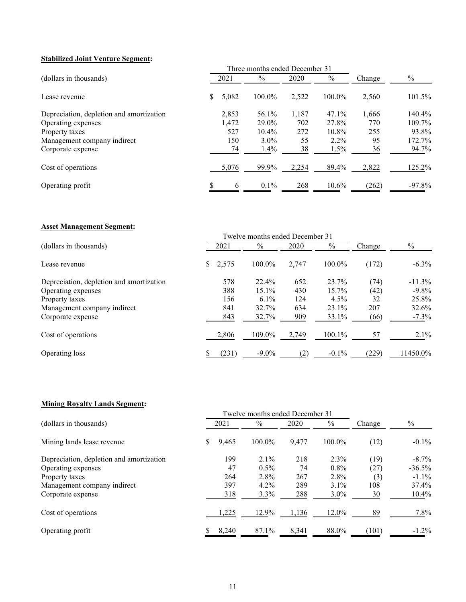## **Stabilized Joint Venture Segment:**

| otabilizta obilit + thtal t begintlit.   |      | Three months ended December 31 |              |       |               |        |           |
|------------------------------------------|------|--------------------------------|--------------|-------|---------------|--------|-----------|
| (dollars in thousands)                   | 2021 |                                | $\%$<br>2020 |       | $\frac{0}{0}$ | Change | $\%$      |
| Lease revenue                            | S    | 5,082                          | 100.0%       | 2,522 | 100.0%        | 2,560  | 101.5%    |
| Depreciation, depletion and amortization |      | 2,853                          | 56.1%        | 1,187 | 47.1%         | 1,666  | 140.4%    |
| Operating expenses                       |      | 1,472                          | 29.0%        | 702   | 27.8%         | 770    | 109.7%    |
| Property taxes                           |      | 527                            | $10.4\%$     | 272   | 10.8%         | 255    | 93.8%     |
| Management company indirect              |      | 150                            | $3.0\%$      | 55    | $2.2\%$       | 95     | 172.7%    |
| Corporate expense                        |      | 74                             | $1.4\%$      | 38    | 1.5%          | 36     | 94.7%     |
| Cost of operations                       |      | 5,076                          | 99.9%        | 2,254 | 89.4%         | 2,822  | 125.2%    |
| Operating profit                         |      | 6                              | $0.1\%$      | 268   | $10.6\%$      | (262)  | $-97.8\%$ |

## **Asset Management Segment:**

| леже вышаемнене эсепини.                 |             |                                 |       |          |        |           |
|------------------------------------------|-------------|---------------------------------|-------|----------|--------|-----------|
|                                          |             | Twelve months ended December 31 |       |          |        |           |
| (dollars in thousands)                   | 2021        | $\%$                            | 2020  | $\%$     | Change | $\%$      |
| Lease revenue                            | 2,575<br>S. | 100.0%                          | 2.747 | 100.0%   | (172)  | $-6.3\%$  |
| Depreciation, depletion and amortization | 578         | 22.4%                           | 652   | 23.7%    | (74)   | $-11.3\%$ |
| Operating expenses                       | 388         | 15.1%                           | 430   | $15.7\%$ | (42)   | $-9.8\%$  |
| Property taxes                           | 156         | $6.1\%$                         | 124   | $4.5\%$  | 32     | 25.8%     |
| Management company indirect              | 841         | 32.7%                           | 634   | 23.1%    | 207    | 32.6%     |
| Corporate expense                        | 843         | 32.7%                           | 909   | 33.1%    | (66)   | $-7.3\%$  |
| Cost of operations                       | 2,806       | 109.0%                          | 2,749 | 100.1%   | 57     | $2.1\%$   |
| Operating loss                           | (231)       | $-9.0\%$                        | (2)   | $-0.1\%$ | (229)  | 11450.0%  |

## **Mining Royalty Lands Segment:**

|                                          |             | Twelve months ended December 31 |       |         |        |           |
|------------------------------------------|-------------|---------------------------------|-------|---------|--------|-----------|
| (dollars in thousands)                   | 2021        | $\frac{0}{0}$                   | 2020  | $\%$    | Change | $\%$      |
| Mining lands lease revenue               | 9,465<br>\$ | $100.0\%$                       | 9,477 | 100.0%  | (12)   | $-0.1\%$  |
| Depreciation, depletion and amortization | 199         | $2.1\%$                         | 218   | 2.3%    | (19)   | $-8.7\%$  |
| Operating expenses                       | 47          | $0.5\%$                         | 74    | $0.8\%$ | (27)   | $-36.5\%$ |
| Property taxes                           | 264         | 2.8%                            | 267   | 2.8%    | (3)    | $-1.1\%$  |
| Management company indirect              | 397         | $4.2\%$                         | 289   | $3.1\%$ | 108    | 37.4%     |
| Corporate expense                        | 318         | $3.3\%$                         | 288   | $3.0\%$ | 30     | $10.4\%$  |
| Cost of operations                       | 1,225       | 12.9%                           | 1,136 | 12.0%   | 89     | 7.8%      |
| Operating profit                         | 8.240       | 87.1%                           | 8,341 | 88.0%   | (101)  | $-1.2\%$  |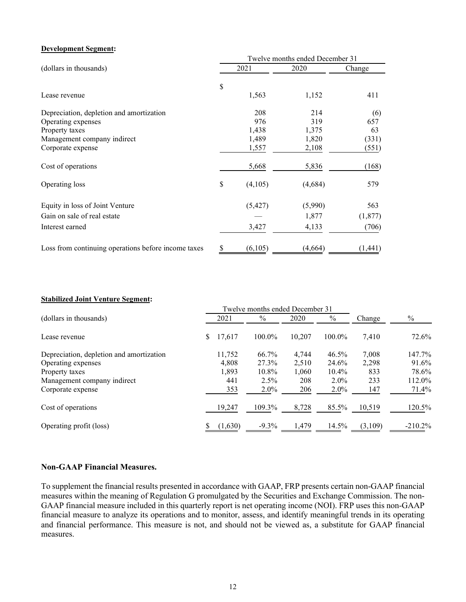#### **Development Segment:**

|                                                     | Twelve months ended December 31 |          |         |          |  |  |  |
|-----------------------------------------------------|---------------------------------|----------|---------|----------|--|--|--|
| (dollars in thousands)                              |                                 | 2021     | 2020    | Change   |  |  |  |
|                                                     | \$                              |          |         |          |  |  |  |
| Lease revenue                                       |                                 | 1,563    | 1,152   | 411      |  |  |  |
| Depreciation, depletion and amortization            |                                 | 208      | 214     | (6)      |  |  |  |
| Operating expenses                                  |                                 | 976      | 319     | 657      |  |  |  |
| Property taxes                                      |                                 | 1,438    | 1,375   | 63       |  |  |  |
| Management company indirect                         |                                 | 1,489    | 1,820   | (331)    |  |  |  |
| Corporate expense                                   |                                 | 1,557    | 2,108   | (551)    |  |  |  |
| Cost of operations                                  |                                 | 5,668    | 5,836   | (168)    |  |  |  |
| Operating loss                                      | \$                              | (4,105)  | (4,684) | 579      |  |  |  |
| Equity in loss of Joint Venture                     |                                 | (5, 427) | (5,990) | 563      |  |  |  |
| Gain on sale of real estate                         |                                 |          | 1,877   | (1, 877) |  |  |  |
| Interest earned                                     |                                 | 3,427    | 4,133   | (706)    |  |  |  |
| Loss from continuing operations before income taxes | \$                              | (6,105)  | (4,664) | (1, 441) |  |  |  |

#### **Stabilized Joint Venture Segment:**

|                                          | Twelve months ended December 31 |               |        |               |         |               |
|------------------------------------------|---------------------------------|---------------|--------|---------------|---------|---------------|
| (dollars in thousands)                   | 2021                            | $\frac{0}{0}$ | 2020   | $\frac{0}{0}$ | Change  | $\frac{0}{0}$ |
| Lease revenue                            | 17,617<br>S.                    | 100.0%        | 10.207 | 100.0%        | 7,410   | 72.6%         |
| Depreciation, depletion and amortization | 11,752                          | 66.7%         | 4.744  | 46.5%         | 7.008   | 147.7%        |
| Operating expenses                       | 4,808                           | 27.3%         | 2,510  | 24.6%         | 2,298   | 91.6%         |
| Property taxes                           | 1,893                           | 10.8%         | 1,060  | $10.4\%$      | 833     | 78.6%         |
| Management company indirect              | 441                             | 2.5%          | 208    | $2.0\%$       | 233     | 112.0%        |
| Corporate expense                        | 353                             | $2.0\%$       | 206    | $2.0\%$       | 147     | 71.4%         |
| Cost of operations                       | 19,247                          | 109.3%        | 8,728  | 85.5%         | 10,519  | 120.5%        |
| Operating profit (loss)                  | (1,630)                         | $-9.3%$       | 1,479  | 14.5%         | (3,109) | $-210.2\%$    |

## **Non-GAAP Financial Measures.**

To supplement the financial results presented in accordance with GAAP, FRP presents certain non-GAAP financial measures within the meaning of Regulation G promulgated by the Securities and Exchange Commission. The non-GAAP financial measure included in this quarterly report is net operating income (NOI). FRP uses this non-GAAP financial measure to analyze its operations and to monitor, assess, and identify meaningful trends in its operating and financial performance. This measure is not, and should not be viewed as, a substitute for GAAP financial measures.